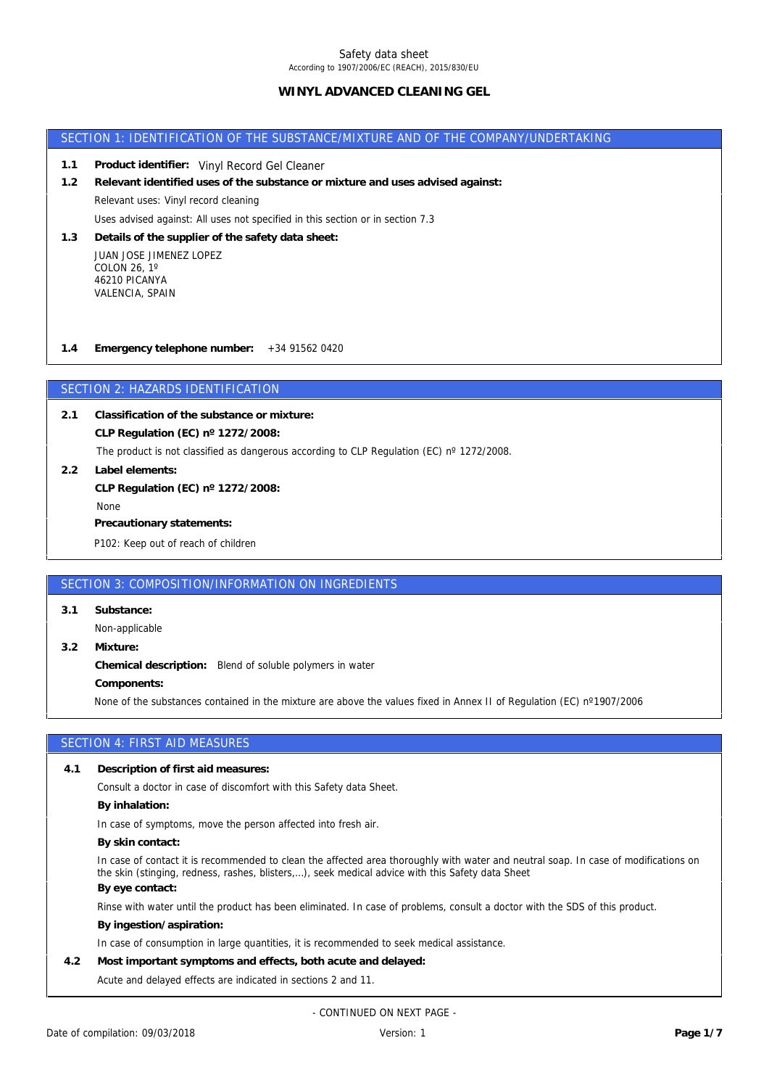## **WINYL ADVANCED CLEANING GEL**

### SECTION 1: IDENTIFICATION OF THE SUBSTANCE/MIXTURE AND OF THE COMPANY/UNDERTAKING

- **1.1 Product identifier:** Vinyl Record Gel Cleaner
- Uses advised against: All uses not specified in this section or in section 7.3 Relevant uses: Vinyl record cleaning **1.2 Relevant identified uses of the substance or mixture and uses advised against:**
- JUAN JOSE JIMENEZ LOPEZ **1.3 Details of the supplier of the safety data sheet:**

COLON 26, 1º 46210 PICANYA VALENCIA, SPAIN

**1.4 Emergency telephone number:** +34 91562 0420

## SECTION 2: HAZARDS IDENTIFICATION

**CLP Regulation (EC) nº 1272/2008: 2.1 Classification of the substance or mixture:**

The product is not classified as dangerous according to CLP Regulation (EC) n° 1272/2008.

**2.2 Label elements: CLP Regulation (EC) nº 1272/2008:**

None

**Precautionary statements:**

P102: Keep out of reach of children

### SECTION 3: COMPOSITION/INFORMATION ON INGREDIENTS

**3.1 Substance:**

Non-applicable

None of the substances contained in the mixture are above the values fixed in Annex II of Regulation (EC) n°1907/2006 **Components: Chemical description:** Blend of soluble polymers in water **3.2 Mixture:**

## SECTION 4: FIRST AID MEASURES

**4.1 Description of first aid measures:**

Consult a doctor in case of discomfort with this Safety data Sheet.

**By inhalation:**

In case of symptoms, move the person affected into fresh air.

**By skin contact:**

**By eye contact:** In case of contact it is recommended to clean the affected area thoroughly with water and neutral soap. In case of modifications on the skin (stinging, redness, rashes, blisters,…), seek medical advice with this Safety data Sheet

Rinse with water until the product has been eliminated. In case of problems, consult a doctor with the SDS of this product.

**By ingestion/aspiration:**

In case of consumption in large quantities, it is recommended to seek medical assistance.

**4.2 Most important symptoms and effects, both acute and delayed:**

Acute and delayed effects are indicated in sections 2 and 11.

- CONTINUED ON NEXT PAGE -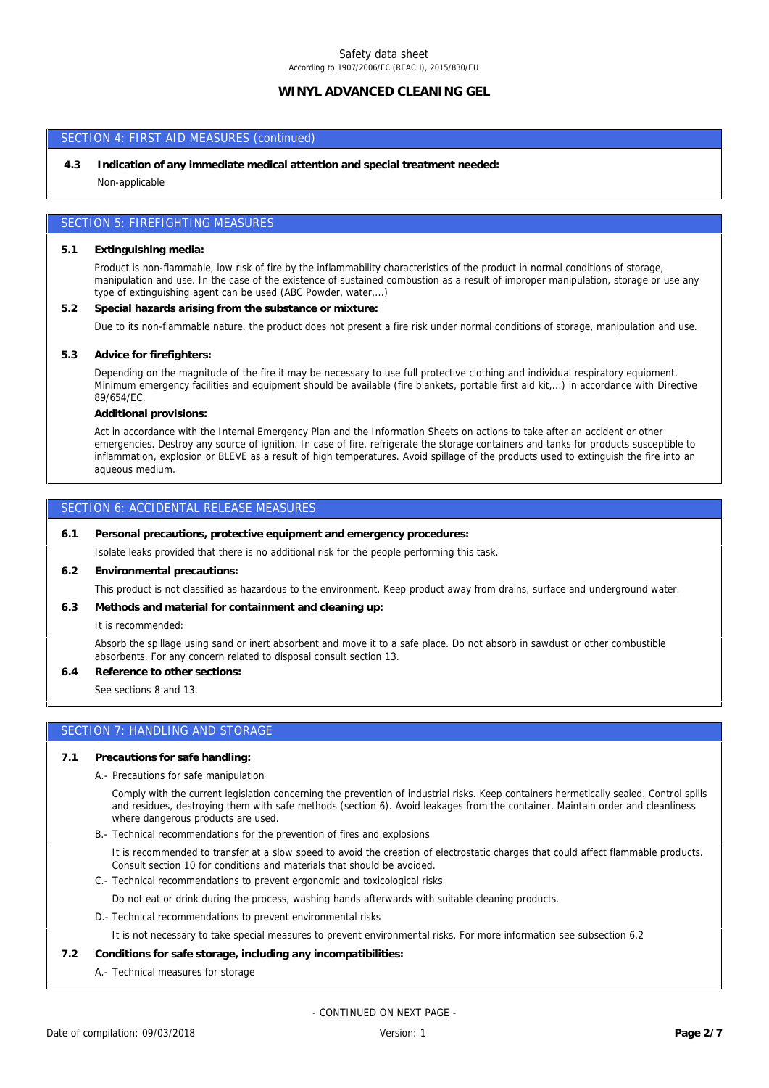# Safety data sheet

# According to 1907/2006/EC (REACH), 2015/830/EU

# **WINYL ADVANCED CLEANING GEL**

## SECTION 4: FIRST AID MEASURES (continued)

Non-applicable **4.3 Indication of any immediate medical attention and special treatment needed:**

## SECTION 5: FIREFIGHTING MEASURES

**5.1 Extinguishing media:**

Product is non-flammable, low risk of fire by the inflammability characteristics of the product in normal conditions of storage, manipulation and use. In the case of the existence of sustained combustion as a result of improper manipulation, storage or use any type of extinguishing agent can be used (ABC Powder, water,...)

**5.2 Special hazards arising from the substance or mixture:**

Due to its non-flammable nature, the product does not present a fire risk under normal conditions of storage, manipulation and use.

**5.3 Advice for firefighters:**

Depending on the magnitude of the fire it may be necessary to use full protective clothing and individual respiratory equipment. Minimum emergency facilities and equipment should be available (fire blankets, portable first aid kit,...) in accordance with Directive 89/654/EC.

**Additional provisions:**

Act in accordance with the Internal Emergency Plan and the Information Sheets on actions to take after an accident or other emergencies. Destroy any source of ignition. In case of fire, refrigerate the storage containers and tanks for products susceptible to inflammation, explosion or BLEVE as a result of high temperatures. Avoid spillage of the products used to extinguish the fire into an aqueous medium.

#### SECTION 6: ACCIDENTAL RELEASE MEASURES

**6.1 Personal precautions, protective equipment and emergency procedures:**

Isolate leaks provided that there is no additional risk for the people performing this task.

**6.2 Environmental precautions:**

This product is not classified as hazardous to the environment. Keep product away from drains, surface and underground water.

**6.3 Methods and material for containment and cleaning up:**

It is recommended:

Absorb the spillage using sand or inert absorbent and move it to a safe place. Do not absorb in sawdust or other combustible absorbents. For any concern related to disposal consult section 13.

**6.4 Reference to other sections:**

See sections 8 and 13.

# SECTION 7: HANDLING AND STORAGE

- **7.1 Precautions for safe handling:**
	- A.- Precautions for safe manipulation

Comply with the current legislation concerning the prevention of industrial risks. Keep containers hermetically sealed. Control spills and residues, destroying them with safe methods (section 6). Avoid leakages from the container. Maintain order and cleanliness where dangerous products are used.

B.- Technical recommendations for the prevention of fires and explosions

It is recommended to transfer at a slow speed to avoid the creation of electrostatic charges that could affect flammable products. Consult section 10 for conditions and materials that should be avoided.

C.- Technical recommendations to prevent ergonomic and toxicological risks

Do not eat or drink during the process, washing hands afterwards with suitable cleaning products.

D.- Technical recommendations to prevent environmental risks

It is not necessary to take special measures to prevent environmental risks. For more information see subsection 6.2

- **7.2 Conditions for safe storage, including any incompatibilities:**
	- A.- Technical measures for storage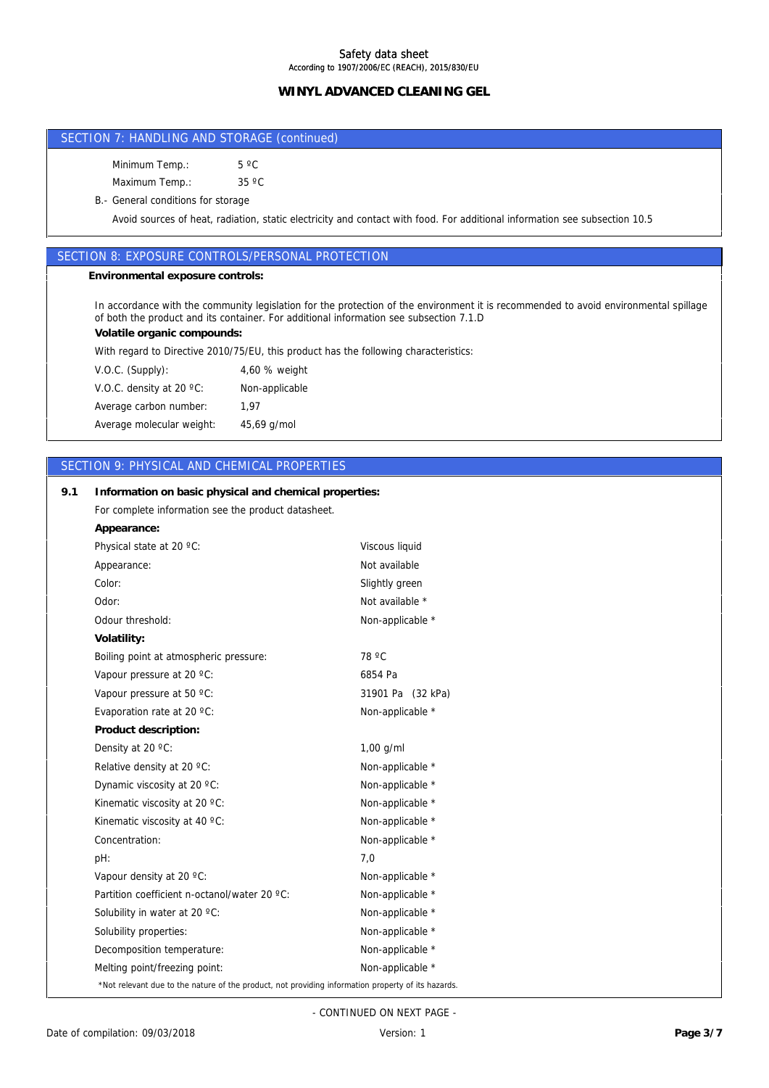# **WINYL ADVANCED CLEANING GEL WINYL ADVANCED CLEANING GEL**

## SECTION 7: HANDLING AND STORAGE (continued)

Minimum Temp.: 5 °C

Maximum Temp.: 35 °C

B.- General conditions for storage

Avoid sources of heat, radiation, static electricity and contact with food. For additional information see subsection 10.5

## SECTION 8: EXPOSURE CONTROLS/PERSONAL PROTECTION

**Environmental exposure controls:**

In accordance with the community legislation for the protection of the environment it is recommended to avoid environmental spillage of both the product and its container. For additional information see subsection 7.1.D

**Volatile organic compounds:**

With regard to Directive 2010/75/EU, this product has the following characteristics:

Average molecular weight: 45,69 g/mol Average carbon number: 1,97 V.O.C. density at 20 ºC: Non-applicable V.O.C. (Supply): 4,60 % weight

## SECTION 9: PHYSICAL AND CHEMICAL PROPERTIES

**9.1 Information on basic physical and chemical properties:**

| For complete information see the product datasheet.                                                |                   |
|----------------------------------------------------------------------------------------------------|-------------------|
| Appearance:                                                                                        |                   |
| Physical state at 20 °C:                                                                           | Viscous liquid    |
| Appearance:                                                                                        | Not available     |
| Color:                                                                                             | Slightly green    |
| Odor:                                                                                              | Not available *   |
| Odour threshold:                                                                                   | Non-applicable *  |
| Volatility:                                                                                        |                   |
| Boiling point at atmospheric pressure:                                                             | 78 °C             |
| Vapour pressure at 20 °C:                                                                          | 6854 Pa           |
| Vapour pressure at 50 °C:                                                                          | 31901 Pa (32 kPa) |
| Evaporation rate at 20 °C:                                                                         | Non-applicable *  |
| Product description:                                                                               |                   |
| Density at 20 °C:                                                                                  | $1,00$ g/ml       |
| Relative density at 20 °C:                                                                         | Non-applicable *  |
| Dynamic viscosity at 20 °C:                                                                        | Non-applicable *  |
| Kinematic viscosity at 20 °C:                                                                      | Non-applicable *  |
| Kinematic viscosity at 40 °C:                                                                      | Non-applicable *  |
| Concentration:                                                                                     | Non-applicable *  |
| pH:                                                                                                | 7,0               |
| Vapour density at 20 °C:                                                                           | Non-applicable *  |
| Partition coefficient n-octanol/water 20 °C:                                                       | Non-applicable *  |
| Solubility in water at 20 °C:                                                                      | Non-applicable *  |
| Solubility properties:                                                                             | Non-applicable *  |
| Decomposition temperature:                                                                         | Non-applicable *  |
| Melting point/freezing point:                                                                      | Non-applicable *  |
| *Not relevant due to the nature of the product, not providing information property of its hazards. |                   |

- CONTINUED ON NEXT PAGE -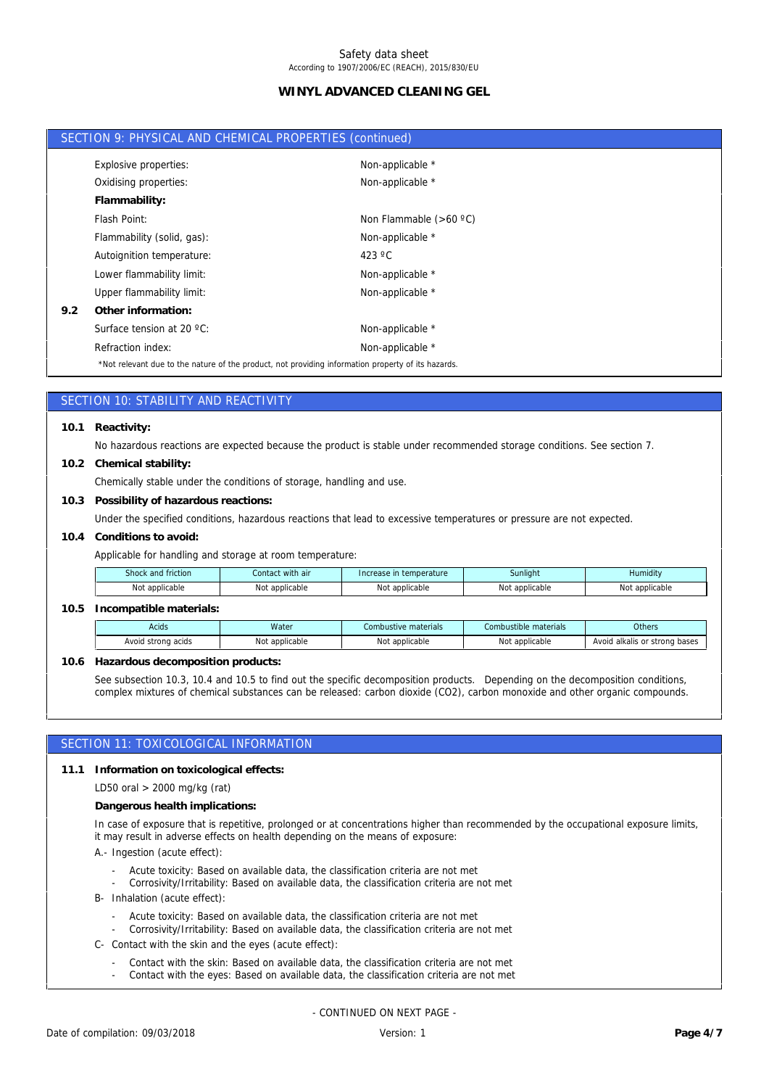# **WINYL ADVANCED CLEANING GEL**

|     | SECTION 9: PHYSICAL AND CHEMICAL PROPERTIES (continued)                                            |                          |
|-----|----------------------------------------------------------------------------------------------------|--------------------------|
|     | Explosive properties:                                                                              | Non-applicable *         |
|     | Oxidising properties:                                                                              | Non-applicable *         |
|     | Flammability:                                                                                      |                          |
|     | Flash Point:                                                                                       | Non Flammable $(>60 °C)$ |
|     | Flammability (solid, gas):                                                                         | Non-applicable *         |
|     | Autoignition temperature:                                                                          | 423 $\degree$ C          |
|     | Lower flammability limit:                                                                          | Non-applicable *         |
|     | Upper flammability limit:                                                                          | Non-applicable *         |
| 9.2 | Other information:                                                                                 |                          |
|     | Surface tension at 20 $^{\circ}$ C:                                                                | Non-applicable *         |
|     | Refraction index:                                                                                  | Non-applicable *         |
|     | *Not relevant due to the nature of the product, not providing information property of its hazards. |                          |

## SECTION 10: STABILITY AND REACTIVITY

**10.1 Reactivity:**

No hazardous reactions are expected because the product is stable under recommended storage conditions. See section 7.

**10.2 Chemical stability:**

Chemically stable under the conditions of storage, handling and use.

**10.3 Possibility of hazardous reactions:**

Under the specified conditions, hazardous reactions that lead to excessive temperatures or pressure are not expected.

**10.4 Conditions to avoid:**

Applicable for handling and storage at room temperature:

| friction<br>Shock and | Contact with air | Increase in temperature | Sunliaht                | <br>Humidity |
|-----------------------|------------------|-------------------------|-------------------------|--------------|
| Not                   | applicable       | No                      | Not                     | Not          |
| : applicable          | Not              | * applicable :          | <sup>+</sup> applicable | applicable   |

#### **10.5 Incompatible materials:**

| Acids                    | Water                | Combustive materials           | Combustible materials | Others                                |
|--------------------------|----------------------|--------------------------------|-----------------------|---------------------------------------|
| Avoid strong acids<br>×. | t applicable<br>IVU! | + ما ۱۰<br>`applicable<br>ישעו | : applicable<br>Not   | strong bases<br>Avoid<br>d alkalis or |

**10.6 Hazardous decomposition products:**

See subsection 10.3, 10.4 and 10.5 to find out the specific decomposition products. Depending on the decomposition conditions, complex mixtures of chemical substances can be released: carbon dioxide (CO2), carbon monoxide and other organic compounds.

### SECTION 11: TOXICOLOGICAL INFORMATION

**11.1 Information on toxicological effects:**

LD50 oral > 2000 mg/kg (rat)

**Dangerous health implications:**

In case of exposure that is repetitive, prolonged or at concentrations higher than recommended by the occupational exposure limits, it may result in adverse effects on health depending on the means of exposure:

A.- Ingestion (acute effect):

- Acute toxicity: Based on available data, the classification criteria are not met
- Corrosivity/Irritability: Based on available data, the classification criteria are not met
- B- Inhalation (acute effect):
	- Acute toxicity: Based on available data, the classification criteria are not met
	- Corrosivity/Irritability: Based on available data, the classification criteria are not met
- C- Contact with the skin and the eyes (acute effect):
	- Contact with the skin: Based on available data, the classification criteria are not met
	- Contact with the eyes: Based on available data, the classification criteria are not met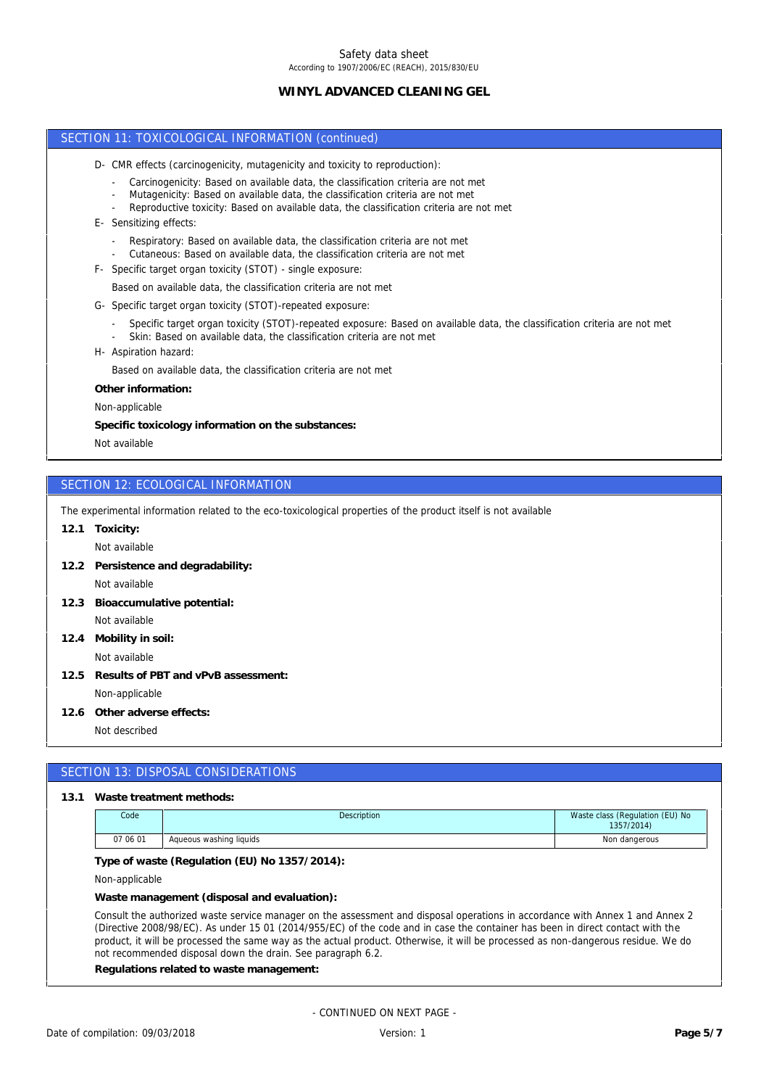# Safety data sheet

According to 1907/2006/EC (REACH), 2015/830/EU

## **WINYL ADVANCED CLEANING GEL**

### SECTION 11: TOXICOLOGICAL INFORMATION (continued)

- D- CMR effects (carcinogenicity, mutagenicity and toxicity to reproduction):
	- Carcinogenicity: Based on available data, the classification criteria are not met
	- Mutagenicity: Based on available data, the classification criteria are not met
	- Reproductive toxicity: Based on available data, the classification criteria are not met
- E- Sensitizing effects:
	- Respiratory: Based on available data, the classification criteria are not met
	- Cutaneous: Based on available data, the classification criteria are not met
- F- Specific target organ toxicity (STOT) single exposure:
	- Based on available data, the classification criteria are not met
- G- Specific target organ toxicity (STOT)-repeated exposure:
	- Specific target organ toxicity (STOT)-repeated exposure: Based on available data, the classification criteria are not met
	- Skin: Based on available data, the classification criteria are not met
- H- Aspiration hazard:

Based on available data, the classification criteria are not met

**Other information:**

Non-applicable

**Specific toxicology information on the substances:**

Not available

## SECTION 12: ECOLOGICAL INFORMATION

The experimental information related to the eco-toxicological properties of the product itself is not available

**12.1 Toxicity:**

Not available

**12.2 Persistence and degradability:**

Not available

- Not available **12.3 Bioaccumulative potential:**
- **12.4 Mobility in soil:**

Not available

- Non-applicable **12.5 Results of PBT and vPvB assessment:**
- **12.6 Other adverse effects:**
	- Not described

### SECTION 13: DISPOSAL CONSIDERATIONS

#### **13.1 Waste treatment methods:**

| Code     | Description             | Waste class (Regulation (EU) No<br>1357/2014) |
|----------|-------------------------|-----------------------------------------------|
| 07 06 01 | Aqueous washing liquids | Non dangerous                                 |

**Type of waste (Regulation (EU) No 1357/2014):**

Non-applicable

**Waste management (disposal and evaluation):**

Consult the authorized waste service manager on the assessment and disposal operations in accordance with Annex 1 and Annex 2 (Directive 2008/98/EC). As under 15 01 (2014/955/EC) of the code and in case the container has been in direct contact with the product, it will be processed the same way as the actual product. Otherwise, it will be processed as non-dangerous residue. We do not recommended disposal down the drain. See paragraph 6.2.

**Regulations related to waste management:**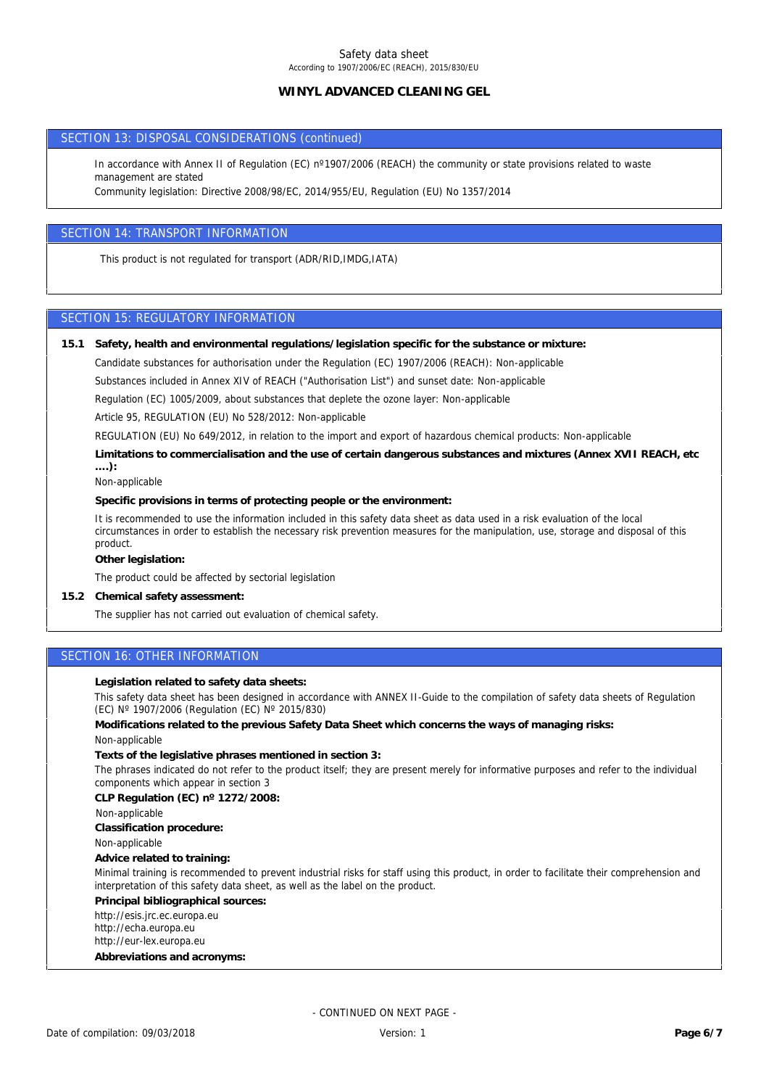## **WINYL ADVANCED CLEANING GEL**

### SECTION 13: DISPOSAL CONSIDERATIONS (continued)

In accordance with Annex II of Regulation (EC) n°1907/2006 (REACH) the community or state provisions related to waste management are stated

Community legislation: Directive 2008/98/EC, 2014/955/EU, Regulation (EU) No 1357/2014

## SECTION 14: TRANSPORT INFORMATION

This product is not regulated for transport (ADR/RID,IMDG,IATA)

## SECTION 15: REGULATORY INFORMATION

- **15.1 Safety, health and environmental regulations/legislation specific for the substance or mixture:**
	- Candidate substances for authorisation under the Regulation (EC) 1907/2006 (REACH): Non-applicable

Substances included in Annex XIV of REACH ("Authorisation List") and sunset date: Non-applicable

Regulation (EC) 1005/2009, about substances that deplete the ozone layer: Non-applicable

Article 95, REGULATION (EU) No 528/2012: Non-applicable

REGULATION (EU) No 649/2012, in relation to the import and export of hazardous chemical products: Non-applicable

**Limitations to commercialisation and the use of certain dangerous substances and mixtures (Annex XVII REACH, etc ….):**

Non-applicable

**Specific provisions in terms of protecting people or the environment:**

It is recommended to use the information included in this safety data sheet as data used in a risk evaluation of the local circumstances in order to establish the necessary risk prevention measures for the manipulation, use, storage and disposal of this product.

**Other legislation:**

The product could be affected by sectorial legislation

**15.2 Chemical safety assessment:**

The supplier has not carried out evaluation of chemical safety.

## SECTION 16: OTHER INFORMATION

**Legislation related to safety data sheets:**

This safety data sheet has been designed in accordance with ANNEX II-Guide to the compilation of safety data sheets of Regulation (EC) Nº 1907/2006 (Regulation (EC) Nº 2015/830)

**Modifications related to the previous Safety Data Sheet which concerns the ways of managing risks:**

Non-applicable

**Texts of the legislative phrases mentioned in section 3:**

The phrases indicated do not refer to the product itself; they are present merely for informative purposes and refer to the individual components which appear in section 3

**CLP Regulation (EC) nº 1272/2008:**

Non-applicable

**Classification procedure:**

Non-applicable

**Advice related to training:**

Minimal training is recommended to prevent industrial risks for staff using this product, in order to facilitate their comprehension and interpretation of this safety data sheet, as well as the label on the product.

**Principal bibliographical sources:**

http://esis.jrc.ec.europa.eu

http://echa.europa.eu

http://eur-lex.europa.eu

**Abbreviations and acronyms:**